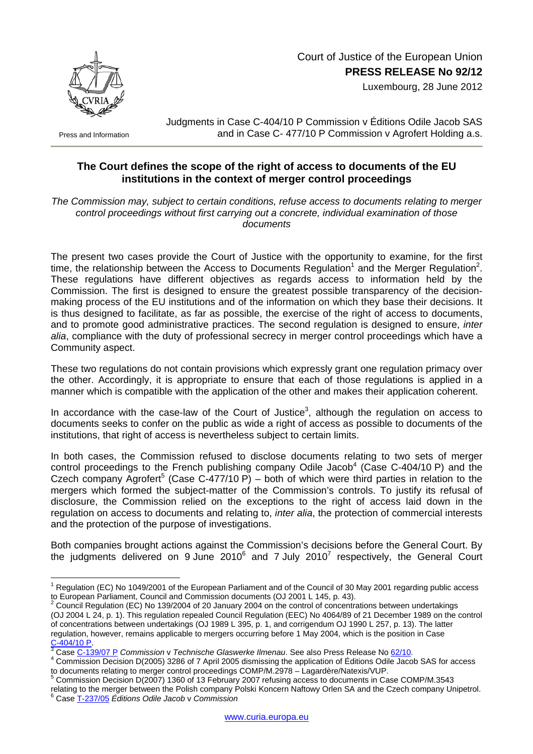

Press and Information

 Court of Justice of the European Union **PRESS RELEASE No 92/12**

Luxembourg, 28 June 2012

Judgments in Case C-404/10 P Commission v Éditions Odile Jacob SAS and in Case C- 477/10 P Commission v Agrofert Holding a.s.

## **The Court defines the scope of the right of access to documents of the EU institutions in the context of merger control proceedings**

*The Commission may, subject to certain conditions, refuse access to documents relating to merger control proceedings without first carrying out a concrete, individual examination of those documents* 

The present two cases provide the Court of Justice with the opportunity to examine, for the first time, the relationship between the Access to Documents Regulation<sup>[1](#page-0-0)</sup> and the Merger Regulation<sup>[2](#page-0-1)</sup>. These regulations have different objectives as regards access to information held by the Commission. The first is designed to ensure the greatest possible transparency of the decisionmaking process of the EU institutions and of the information on which they base their decisions. It is thus designed to facilitate, as far as possible, the exercise of the right of access to documents, and to promote good administrative practices. The second regulation is designed to ensure, *inter alia*, compliance with the duty of professional secrecy in merger control proceedings which have a Community aspect.

These two regulations do not contain provisions which expressly grant one regulation primacy over the other. Accordingly, it is appropriate to ensure that each of those regulations is applied in a manner which is compatible with the application of the other and makes their application coherent.

In accordance with the case-law of the Court of Justice<sup>[3](#page-0-2)</sup>, although the regulation on access to documents seeks to confer on the public as wide a right of access as possible to documents of the institutions, that right of access is nevertheless subject to certain limits.

In both cases, the Commission refused to disclose documents relating to two sets of merger control proceedings to the French publishing company Odile Jacob<sup>[4](#page-0-3)</sup> (Case C-404/10 P) and the Czech company Agrofert<sup>[5](#page-0-4)</sup> (Case C-477/10 P) – both of which were third parties in relation to the mergers which formed the subject-matter of the Commission's controls. To justify its refusal of disclosure, the Commission relied on the exceptions to the right of access laid down in the regulation on access to documents and relating to, *inter alia*, the protection of commercial interests and the protection of the purpose of investigations.

Both companies brought actions against the Commission's decisions before the General Court. By the judgments delivered on 9 June 2010 $^6$  $^6$  and [7](#page-0-5) July 2010<sup>7</sup> respectively, the General Court

<span id="page-0-0"></span> 1 Regulation (EC) No 1049/2001 of the European Parliament and of the Council of 30 May 2001 regarding public access to European Parliament, Council and Commission documents (OJ 2001 L 145, p. 43).<br><sup>2</sup> Council Bogulation (EQ) Ne 430/0004 100 in the students (OJ 2001 L 145, p. 43).

<span id="page-0-1"></span>Council Regulation (EC) No 139/2004 of 20 January 2004 on the control of concentrations between undertakings (OJ 2004 L 24, p. 1). This regulation repealed Council Regulation (EEC) No 4064/89 of 21 December 1989 on the control of concentrations between undertakings (OJ 1989 L 395, p. 1, and corrigendum OJ 1990 L 257, p. 13). The latter regulation, however, remains applicable to mergers occurring before 1 May 2004, which is the position in Case  $\frac{C-404/10 P}{3}$  $\frac{C-404/10 P}{3}$  $\frac{C-404/10 P}{3}$  $\frac{C-404/10 P}{3}$  $\frac{C-404/10 P}{3}$ 

<span id="page-0-2"></span>Case C-139/07 P *Commission* v *Technische Glaswerke Ilmenau*. See also Press Release No [62/10.](http://curia.europa.eu/jcms/upload/docs/application/pdf/2010-06/cp100062en.pdf) 4

<span id="page-0-3"></span>Commission Decision D(2005) 3286 of 7 April 2005 dismissing the application of Éditions Odile Jacob SAS for access to documents relating to merger control proceedings COMP/M.2978 - Lagardère/Natexis/VUP.

<span id="page-0-4"></span>Commission Decision D(2007) 1360 of 13 February 2007 refusing access to documents in Case COMP/M.3543 relating to the merger between the Polish company Polski Koncern Naftowy Orlen SA and the Czech company Unipetrol. 6

<span id="page-0-5"></span>Case [T-237/05](http://curia.europa.eu/jurisp/cgi-bin/form.pl?lang=EN&Submit=rechercher&numaff=t-237/05) *Éditions Odile Jacob* v *Commission*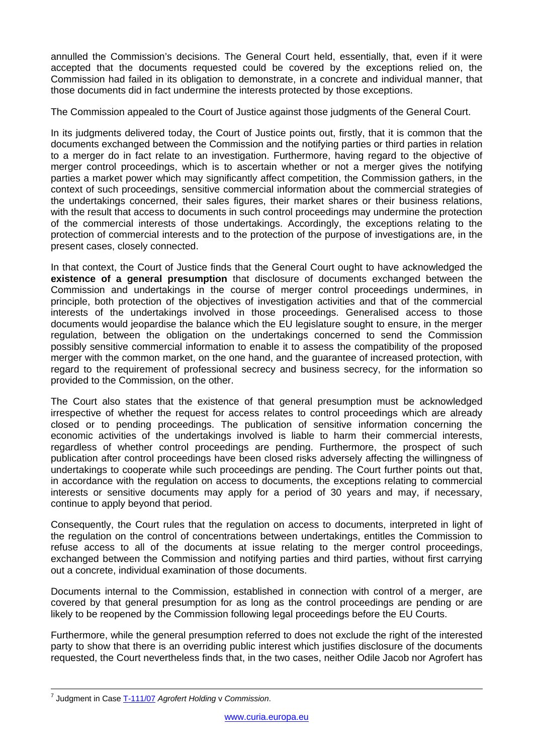annulled the Commission's decisions. The General Court held, essentially, that, even if it were accepted that the documents requested could be covered by the exceptions relied on, the Commission had failed in its obligation to demonstrate, in a concrete and individual manner, that those documents did in fact undermine the interests protected by those exceptions.

The Commission appealed to the Court of Justice against those judgments of the General Court.

In its judgments delivered today, the Court of Justice points out, firstly, that it is common that the documents exchanged between the Commission and the notifying parties or third parties in relation to a merger do in fact relate to an investigation. Furthermore, having regard to the objective of merger control proceedings, which is to ascertain whether or not a merger gives the notifying parties a market power which may significantly affect competition, the Commission gathers, in the context of such proceedings, sensitive commercial information about the commercial strategies of the undertakings concerned, their sales figures, their market shares or their business relations, with the result that access to documents in such control proceedings may undermine the protection of the commercial interests of those undertakings. Accordingly, the exceptions relating to the protection of commercial interests and to the protection of the purpose of investigations are, in the present cases, closely connected.

In that context, the Court of Justice finds that the General Court ought to have acknowledged the **existence of a general presumption** that disclosure of documents exchanged between the Commission and undertakings in the course of merger control proceedings undermines, in principle, both protection of the objectives of investigation activities and that of the commercial interests of the undertakings involved in those proceedings. Generalised access to those documents would jeopardise the balance which the EU legislature sought to ensure, in the merger regulation, between the obligation on the undertakings concerned to send the Commission possibly sensitive commercial information to enable it to assess the compatibility of the proposed merger with the common market, on the one hand, and the guarantee of increased protection, with regard to the requirement of professional secrecy and business secrecy, for the information so provided to the Commission, on the other.

The Court also states that the existence of that general presumption must be acknowledged irrespective of whether the request for access relates to control proceedings which are already closed or to pending proceedings. The publication of sensitive information concerning the economic activities of the undertakings involved is liable to harm their commercial interests, regardless of whether control proceedings are pending. Furthermore, the prospect of such publication after control proceedings have been closed risks adversely affecting the willingness of undertakings to cooperate while such proceedings are pending. The Court further points out that, in accordance with the regulation on access to documents, the exceptions relating to commercial interests or sensitive documents may apply for a period of 30 years and may, if necessary, continue to apply beyond that period.

Consequently, the Court rules that the regulation on access to documents, interpreted in light of the regulation on the control of concentrations between undertakings, entitles the Commission to refuse access to all of the documents at issue relating to the merger control proceedings, exchanged between the Commission and notifying parties and third parties, without first carrying out a concrete, individual examination of those documents.

Documents internal to the Commission, established in connection with control of a merger, are covered by that general presumption for as long as the control proceedings are pending or are likely to be reopened by the Commission following legal proceedings before the EU Courts.

Furthermore, while the general presumption referred to does not exclude the right of the interested party to show that there is an overriding public interest which justifies disclosure of the documents requested, the Court nevertheless finds that, in the two cases, neither Odile Jacob nor Agrofert has

<sup>-&</sup>lt;br>7 Judgment in Case [T-111/07](http://curia.europa.eu/juris/liste.jsf?language=en&num=t-111/07) *Agrofert Holding* v *Commission*.